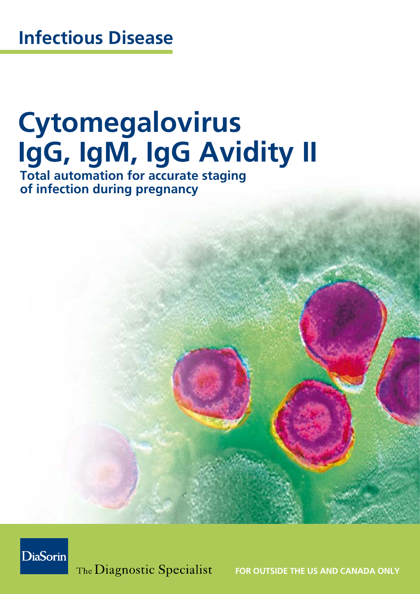# **Cytomegalovirus IgG, IgM, IgG Avidity II**

**Total automation for accurate staging of infection during pregnancy**



The Diagnostic Specialist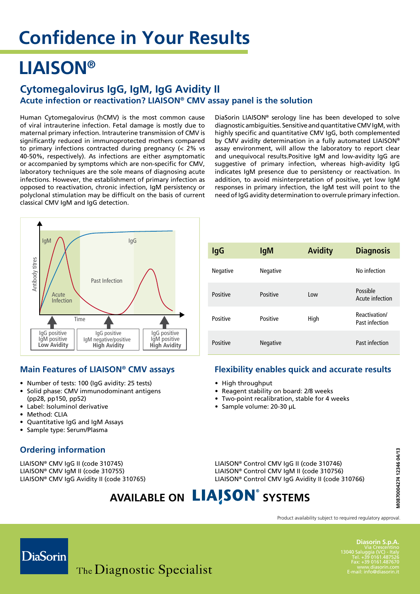### **LIAISON®**

#### **Cytomegalovirus IgG, IgM, IgG Avidity II Acute infection or reactivation? LIAISON® CMV assay panel is the solution**

Human Cytomegalovirus (hCMV) is the most common cause of viral intrauterine infection. Fetal damage is mostly due to maternal primary infection. Intrauterine transmission of CMV is significantly reduced in immunoprotected mothers compared to primary infections contracted during pregnancy (< 2% vs 40-50%, respectively). As infections are either asymptomatic or accompanied by symptoms which are non-specific for CMV, laboratory techniques are the sole means of diagnosing acute infections. However, the establishment of primary infection as opposed to reactivation, chronic infection, IgM persistency or polyclonal stimulation may be difficult on the basis of current classical CMV IgM and IgG detection.



#### **Main Features of LIAISON® CMV assays**

- • Number of tests: 100 (IgG avidity: 25 tests)
- Solid phase: CMV immunodominant antigens (pp28, pp150, pp52)
- • Label: Isoluminol derivative
- Method: CLIA
- **Ouantitative IgG and IgM Assays**
- • Sample type: Serum/Plasma

#### **Ordering information**

LIAISON® CMV IgG II (code 310745) LIAISON® CMV IgM II (code 310755) LIAISON® CMV IgG Avidity II (code 310765)

| <b>IgG</b> | <b>IgM</b>      | <b>Avidity</b> | <b>Diagnosis</b>                |
|------------|-----------------|----------------|---------------------------------|
| Negative   | Negative        |                | No infection                    |
| Positive   | Positive        | l ow           | Possible<br>Acute infection     |
| Positive   | Positive        | High           | Reactivation/<br>Past infection |
| Positive   | <b>Negative</b> |                | Past infection                  |

DiaSorin LIAISON® serology line has been developed to solve diagnostic ambiguities. Sensitive and quantitative CMV IgM, with highly specific and quantitative CMV IgG, both complemented by CMV avidity determination in a fully automated LIAISON® assay environment, will allow the laboratory to report clear and unequivocal results.Positive IgM and low-avidity IgG are suggestive of primary infection, whereas high-avidity IgG indicates IgM presence due to persistency or reactivation. In addition, to avoid misinterpretation of positive, yet low IgM responses in primary infection, the IgM test will point to the need of IgG avidity determination to overrule primary infection.

#### **Flexibility enables quick and accurate results**

- High throughput
- • Reagent stability on board: 2/8 weeks
- Two-point recalibration, stable for 4 weeks
- • Sample volume: 20-30 µL

LIAISON® Control CMV IgG II (code 310746) LIAISON® Control CMV IgM II (code 310756) LIAISON® Control CMV IgG Avidity II (code 310766)

### **AVAILABLE ON LIAISON®** SYSTEMS

Product availability subject to required regulatory approval.



**Diasorin S.p.A.** Via Crescentino<br>13040 Saluggia (VC) - Italy<br>Tel. +39 0161.487526<br>Fax: +39 0161.487670 www.diasorin.com E-mail: info@diasorin.it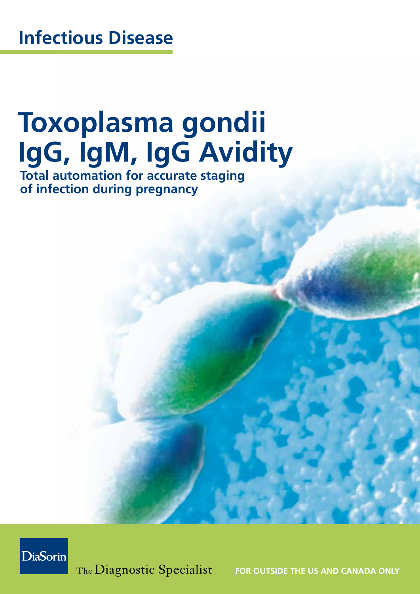# **Toxoplasma gondii IgG, IgM, IgG Avidity**

**Total automation for accurate staging of infection during pregnancy**



The Diagnostic Specialist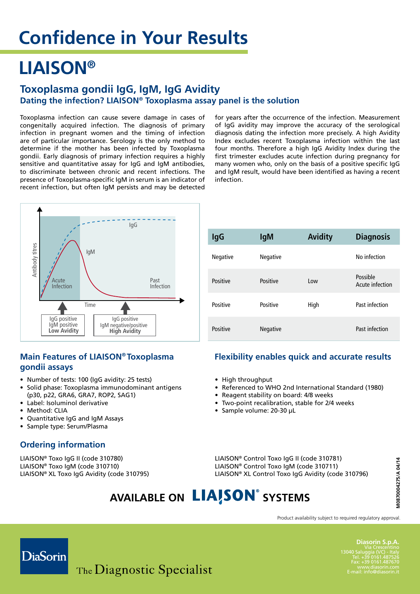### **LIAISON®**

#### **Toxoplasma gondii IgG, IgM, IgG Avidity Dating the infection? LIAISON® Toxoplasma assay panel is the solution**

Toxoplasma infection can cause severe damage in cases of congenitally acquired infection. The diagnosis of primary infection in pregnant women and the timing of infection are of particular importance. Serology is the only method to determine if the mother has been infected by Toxoplasma gondii. Early diagnosis of primary infection requires a highly sensitive and quantitative assay for IgG and IgM antibodies, to discriminate between chronic and recent infections. The presence of Toxoplasma-specific IgM in serum is an indicator of recent infection, but often IgM persists and may be detected

for years after the occurrence of the infection. Measurement of IgG avidity may improve the accuracy of the serological diagnosis dating the infection more precisely. A high Avidity Index excludes recent Toxoplasma infection within the last four months. Therefore a high IgG Avidity Index during the first trimester excludes acute infection during pregnancy for many women who, only on the basis of a positive specific IgG and IgM result, would have been identified as having a recent infection.



#### **Main Features of LIAISON® Toxoplasma gondii assays**

- Number of tests: 100 (IgG avidity: 25 tests)
- Solid phase: Toxoplasma immunodominant antigens (p30, p22, GRA6, GRA7, ROP2, SAG1)
- Label: Isoluminol derivative
- Method: CLIA
- Quantitative IgG and IgM Assays
- • Sample type: Serum/Plasma

#### **Ordering information**

LIAISON® Toxo IgG II (code 310780) LIAISON® Toxo IgM (code 310710) LIAISON® XL Toxo IgG Avidity (code 310795)

| <b>IgG</b>      | <b>IgM</b>      | <b>Avidity</b> | <b>Diagnosis</b>            |
|-----------------|-----------------|----------------|-----------------------------|
| <b>Negative</b> | <b>Negative</b> |                | No infection                |
| Positive        | Positive        | l ow           | Possible<br>Acute infection |
| Positive        | Positive        | High           | Past infection              |
| Positive        | <b>Negative</b> |                | Past infection              |

#### **Flexibility enables quick and accurate results**

- High throughput
- Referenced to WHO 2nd International Standard (1980)
- Reagent stability on board: 4/8 weeks
- Two-point recalibration, stable for 2/4 weeks
- • Sample volume: 20-30 µL

LIAISON® Control Toxo IgG II (code 310781) LIAISON® Control Toxo IgM (code 310711) LIAISON® XL Control Toxo IgG Avidity (code 310796)

### **AVAILABLE ON LIAISON®** SYSTEMS

Product availability subject to required regulatory approval.



**Diasorin S.p.A.** Via Crescentin<br>13040 Saluggia (VC) - Ita Tel. +39 0161.487526 Fax: +39 0161.487670 www.diasorin.com E-mail: info@diasorin.it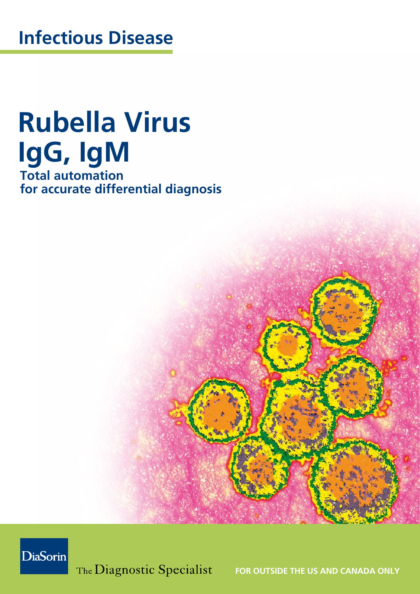# **Rubella Virus IgG, IgM**

**Total automation for accurate differential diagnosis**



The Diagnostic Specialist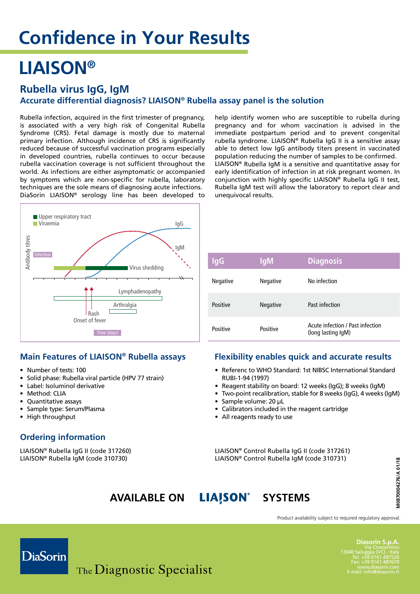### **LIAISON®**

#### **Rubella virus IgG, IgM**

#### **Accurate differential diagnosis? LIAISON® Rubella assay panel is the solution**

Rubella infection, acquired in the first trimester of pregnancy, is associated with a very high risk of Congenital Rubella Syndrome (CRS). Fetal damage is mostly due to maternal primary infection. Although incidence of CRS is significantly reduced because of successful vaccination programs especially in developed countries, rubella continues to occur because rubella vaccination coverage is not sufficient throughout the world. As infections are either asymptomatic or accompanied by symptoms which are non-specific for rubella, laboratory techniques are the sole means of diagnosing acute infections. DiaSorin LIAISON® serology line has been developed to



#### **Main Features of LIAISON® Rubella assays**

- Number of tests: 100
- Solid phase: Rubella viral particle (HPV 77 strain)
- Label: Isoluminol derivative
- Method: CLIA
- Quantitative assays
- Sample type: Serum/Plasma
- High throughput

#### **Ordering information**

LIAISON® Rubella IgG II (code 317260) LIAISON® Rubella IgM (code 310730)

help identify women who are susceptible to rubella during pregnancy and for whom vaccination is advised in the immediate postpartum period and to prevent congenital rubella syndrome. LIAISON® Rubella IgG II is a sensitive assay able to detect low IgG antibody titers present in vaccinated population reducing the number of samples to be confirmed. LIAISON® Rubella IgM is a sensitive and quantitative assay for early identification of infection in at risk pregnant women. In conjunction with highly specific LIAISON® Rubella IgG II test, Rubella IgM test will allow the laboratory to report clear and unequivocal results.

| lgG             | <b>IgM</b>      | <b>Diagnosis</b>                                       |
|-----------------|-----------------|--------------------------------------------------------|
| <b>Negative</b> | <b>Negative</b> | No infection                                           |
| Positive        | <b>Negative</b> | Past infection                                         |
| Positive        | Positive        | Acute infection / Past infection<br>(long lasting IgM) |

#### **Flexibility enables quick and accurate results**

- Referenc to WHO Standard: 1st NIBSC International Standard RUBI-1-94 (1997)
- Reagent stability on board: 12 weeks (IgG); 8 weeks (IgM)
- Two-point recalibration, stable for 8 weeks (IgG), 4 weeks (IgM)
- Sample volume: 20 µL
- Calibrators included in the reagent cartridge
- All reagents ready to use

LIAISON® Control Rubella IgG II (code 317261) LIAISON® Control Rubella IgM (code 310731)

### **AVAILABLE ON LIAISON** SYSTEMS

Product availability subject to required regulatory approval.



**Diasorin S.p.A.** Via Crescentino 13040 Saluggia (VC) - Italy Tel. +39 0161.487526 www.diasorin.com E-mail: info@diasorin.it

**M0870004276/A 01/18**

10870004276/A 01/18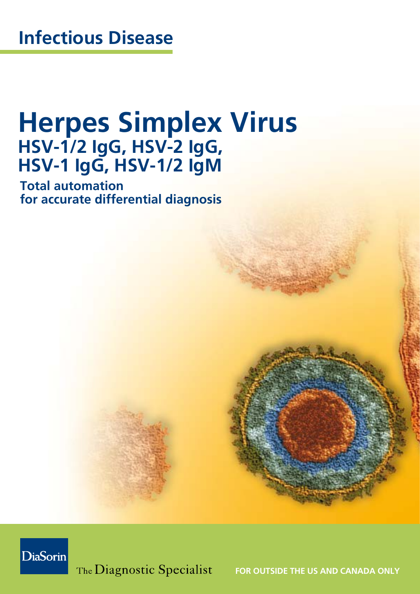### **Herpes Simplex Virus HSV-1/2 IgG, HSV-2 IgG, HSV-1 IgG, HSV-1/2 IgM**

**Total automation for accurate differential diagnosis**



The Diagnostic Specialist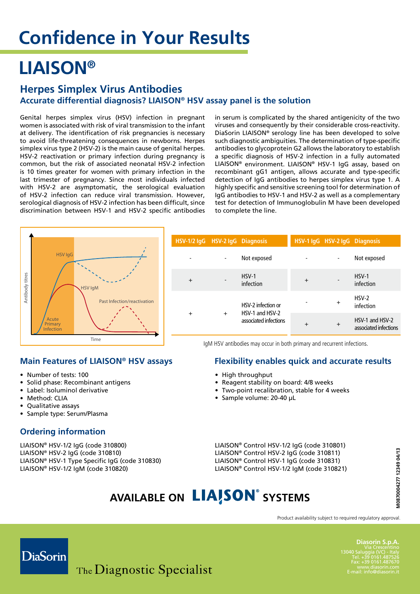### **LIAISON®**

#### **Herpes Simplex Virus Antibodies Accurate differential diagnosis? LIAISON® HSV assay panel is the solution**

Genital herpes simplex virus (HSV) infection in pregnant women is associated with risk of viral transmission to the infant at delivery. The identification of risk pregnancies is necessary to avoid life-threatening consequences in newborns. Herpes simplex virus type 2 (HSV-2) is the main cause of genital herpes. HSV-2 reactivation or primary infection during pregnancy is common, but the risk of associated neonatal HSV-2 infection is 10 times greater for women with primary infection in the last trimester of pregnancy. Since most individuals infected with HSV-2 are asymptomatic, the serological evaluation of HSV-2 infection can reduce viral transmission. However, serological diagnosis of HSV-2 infection has been difficult, since discrimination between HSV-1 and HSV-2 specific antibodies

in serum is complicated by the shared antigenicity of the two viruses and consequently by their considerable cross-reactivity. DiaSorin LIAISON® serology line has been developed to solve such diagnostic ambiguities. The determination of type-specific antibodies to glycoprotein G2 allows the laboratory to establish a specific diagnosis of HSV-2 infection in a fully automated Liaison® environment. LIAISON® HSV-1 IgG assay, based on recombinant gG1 antigen, allows accurate and type-specific detection of IgG antibodies to herpes simplex virus type 1. A highly specific and sensitive screening tool for determination of IgG antibodies to HSV-1 and HSV-2 as well as a complementary test for detection of Immunoglobulin M have been developed to complete the line.



#### **Main Features of LIAISON® HSV assays**

- • Number of tests: 100
- Solid phase: Recombinant antigens
- Label: Isoluminol derivative
- Method: CLIA
- Qualitative assays
- • Sample type: Serum/Plasma

#### **Ordering information**

LIAISON® HSV-1/2 IgG (code 310800) LIAISON® HSV-2 IgG (code 310810) LIAISON® HSV-1 Type Specific IgG (code 310830) LIAISON® HSV-1/2 IgM (code 310820)

| HSV-1/2 lgG HSV-2 lgG Diagnosis |                                          |                      |                | HSV-1 IgG HSV-2 IgG Diagnosis            |                    |
|---------------------------------|------------------------------------------|----------------------|----------------|------------------------------------------|--------------------|
|                                 |                                          | Not exposed          |                |                                          | Not exposed        |
| $\ddot{}$                       | $\overline{\phantom{a}}$                 | $HSV-1$<br>infection | $+$            |                                          | HSV-1<br>infection |
| $+$<br>$\ddot{}$                | HSV-2 infection or                       |                      | $\ddot{}$      | $HSV-2$<br>infection                     |                    |
|                                 | HSV-1 and HSV-2<br>associated infections | $+$                  | $\overline{+}$ | HSV-1 and HSV-2<br>associated infections |                    |

IgM HSV antibodies may occur in both primary and recurrent infections.

#### **Flexibility enables quick and accurate results**

- High throughput
- Reagent stability on board: 4/8 weeks
- Two-point recalibration, stable for 4 weeks
- • Sample volume: 20-40 µL

LIAISON® Control HSV-1/2 IgG (code 310801) LIAISON® Control HSV-2 IgG (code 310811) LIAISON® Control HSV-1 IgG (code 310831) LIAISON® Control HSV-1/2 IgM (code 310821)

### **AVAILABLE ON LIAISON®** SYSTEMS

Product availability subject to required regulatory approval.



**Diasorin S.p.A.** Via Crescentino<br>13040 Saluggia (VC) - Italy<br>Tel. +39 0161.487526<br>Fax: +39 0161.487670 www.diasorin.com E-mail: info@diasorin.it

**M0870004277 12349 04/13**

10870004277 12349 04/13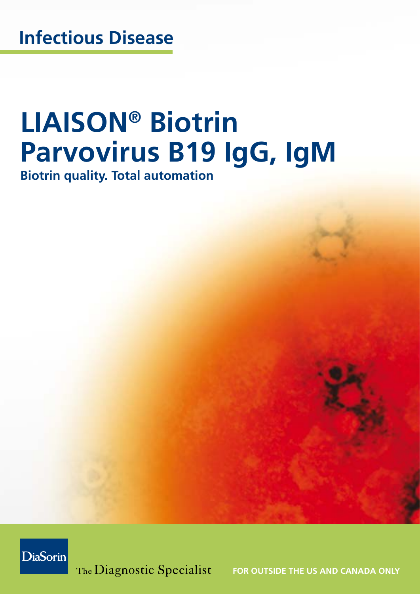# **LIAISON® Biotrin Parvovirus B19 IgG, IgM**

**Biotrin quality. Total automation**



The Diagnostic Specialist FOR OUTSIDE THE US AND CANADA ONLY